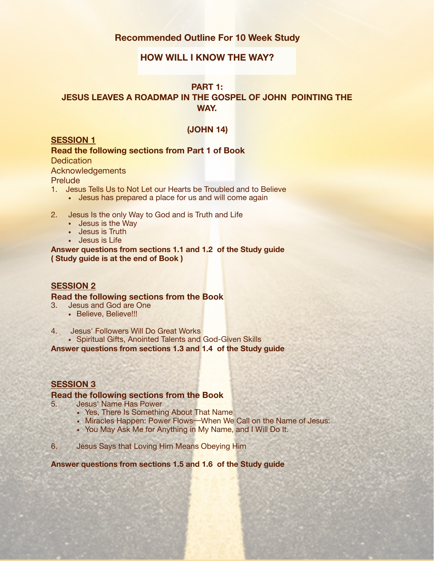# **Recommended Outline For 10 Week Study**

# Y **HOW WILL I KNOW THE WAY?**

## **PART 1:**

# **JESUS LEAVES A ROADMAP IN THE GOSPEL OF JOHN POINTING THE WAY.**

#### **(JOHN 14)**

## **SESSION 1**

**Read the following sections from Part 1 of Book Dedication** 

Acknowledgements

**Prelude** 

- 1. Jesus Tells Us to Not Let our Hearts be Troubled and to Believe
	- Jesus has prepared a place for us and will come again
- 2. Jesus Is the only Way to God and is Truth and Life
	- Jesus is the Way
	- Jesus is Truth
	- Jesus is Life

**Answer questions from sections 1.1 and 1.2 of the Study guide ( Study guide is at the end of Book )** 

## **SESSION 2**

#### **Read the following sections from the Book**

- 3. Jesus and God are One
	- Believe, Believe!!!
- 4. Jesus' Followers Will Do Great Works
	- Spiritual Gifts, Anointed Talents and God-Given Skills

**Answer questions from sections 1.3 and 1.4 of the Study guide** 

# **SESSION 3**

#### **Read the following sections from the Book**

- 5. Jesus' Name Has Power
	- Yes, There Is Something About That Name
	- Miracles Happen: Power Flows-When We Call on the Name of Jesus:
	- You May Ask Me for Anything in My Name, and I Will Do It.
- 6. Jesus Says that Loving Him Means Obeying Him

**Answer questions from sections 1.5 and 1.6 of the Study guide**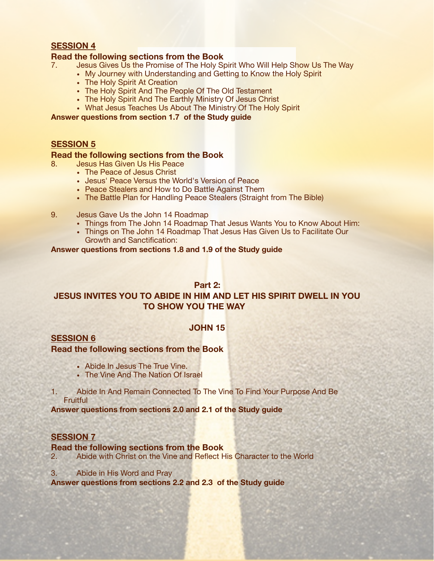## **SESSION 4**

#### **Read the following sections from the Book**

- **Head the following sections from the Book**<br>7. Jesus Gives Us the Promise of The Holy Spirit Who Will Help Show Us The Way
	- My Journey with Understanding and Getting to Know the Holy Spirit
	- The Holy Spirit At Creation
	- The Holy Spirit And The People Of The Old Testament
	- The Holy Spirit And The Earthly Ministry Of Jesus Christ
	- What Jesus Teaches Us About The Ministry Of The Holy Spirit

**Answer questions from section 1.7 of the Study guide** 

#### **SESSION 5**

#### **Read the following sections from the Book**

- 8. Jesus Has Given Us His Peace
	- The Peace of Jesus Christ
	- Jesus' Peace Versus the World's Version of Peace
	- Peace Stealers and How to Do Battle Against Them
	- The Battle Plan for Handling Peace Stealers (Straight from The Bible)
- 9. Jesus Gave Us the John 14 Roadmap
	- Things from The John 14 Roadmap That Jesus Wants You to Know About Him:
	- Things on The John 14 Roadmap That Jesus Has Given Us to Facilitate Our Growth and Sanctification:

#### **Answer questions from sections 1.8 and 1.9 of the Study guide**

## **Part 2:**

# **JESUS INVITES YOU TO ABIDE IN HIM AND LET HIS SPIRIT DWELL IN YOU TO SHOW YOU THE WAY**

## **JOHN 15**

## **SESSION 6**

## **Read the following sections from the Book**

- Abide In Jesus The True Vine.
- The Vine And The Nation Of Israel
- 1. Abide In And Remain Connected To The Vine To Find Your Purpose And Be **Fruitful**

**Answer questions from sections 2.0 and 2.1 of the Study guide** 

## **SESSION 7**

#### **Read the following sections from the Book**

- 2. Abide with Christ on the Vine and Reflect His Character to the World
- 3. Abide in His Word and Pray

**Answer questions from sections 2.2 and 2.3 of the Study guide**